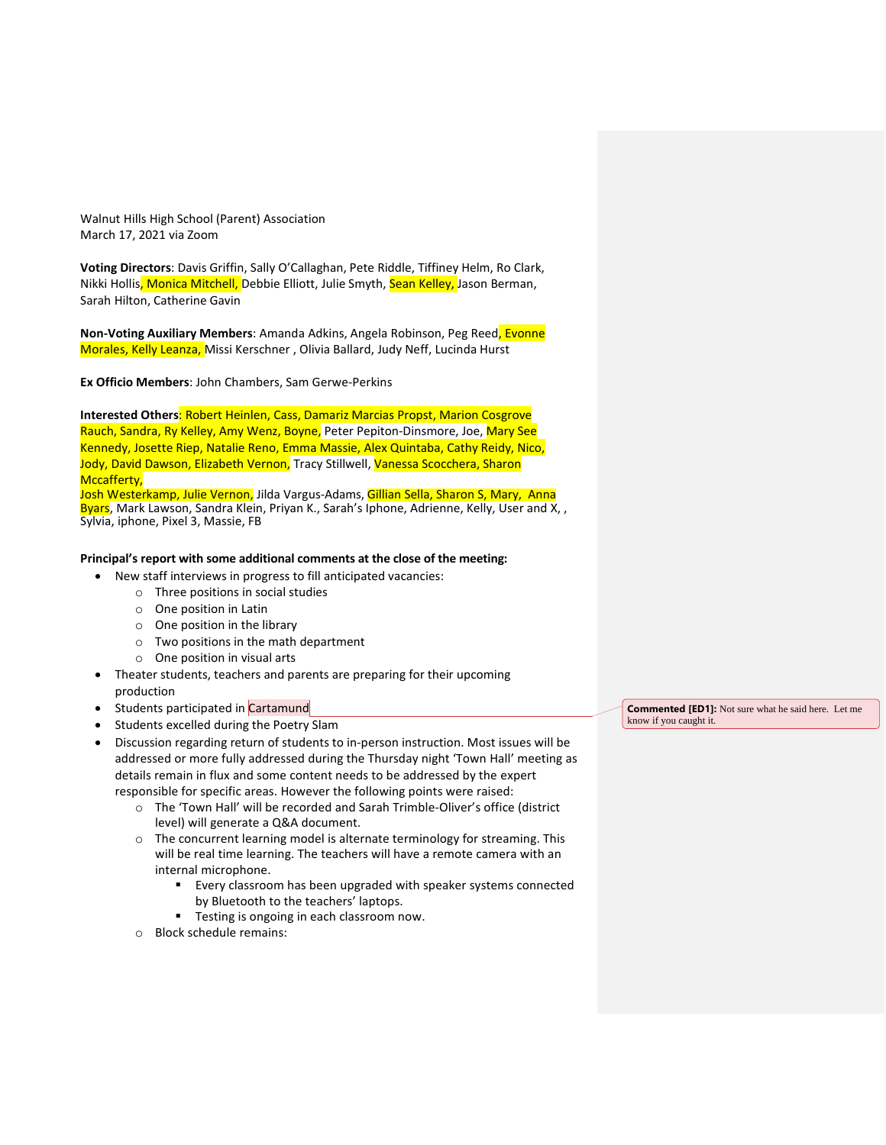Walnut Hills High School (Parent) Association March 17, 2021 via Zoom

**Voting Directors**: Davis Griffin, Sally O'Callaghan, Pete Riddle, Tiffiney Helm, Ro Clark, Nikki Hollis, Monica Mitchell, Debbie Elliott, Julie Smyth, Sean Kelley, Jason Berman, Sarah Hilton, Catherine Gavin

**Non-Voting Auxiliary Members**: Amanda Adkins, Angela Robinson, Peg Reed, Evonne Morales, Kelly Leanza, Missi Kerschner , Olivia Ballard, Judy Neff, Lucinda Hurst

**Ex Officio Members**: John Chambers, Sam Gerwe-Perkins

**Interested Others**: Robert Heinlen, Cass, Damariz Marcias Propst, Marion Cosgrove Rauch, Sandra, Ry Kelley, Amy Wenz, Boyne, Peter Pepiton-Dinsmore, Joe, Mary See Kennedy, Josette Riep, Natalie Reno, Emma Massie, Alex Quintaba, Cathy Reidy, Nico, Jody, David Dawson, Elizabeth Vernon, Tracy Stillwell, Vanessa Scocchera, Sharon Mccafferty,

Josh Westerkamp, Julie Vernon, Jilda Vargus-Adams, Gillian Sella, Sharon S, Mary, Anna Byars, Mark Lawson, Sandra Klein, Priyan K., Sarah's Iphone, Adrienne, Kelly, User and X, , Sylvia, iphone, Pixel 3, Massie, FB

#### **Principal's report with some additional comments at the close of the meeting:**

- New staff interviews in progress to fill anticipated vacancies:
	- o Three positions in social studies
	- o One position in Latin
	- o One position in the library
	- o Two positions in the math department
	- o One position in visual arts
- Theater students, teachers and parents are preparing for their upcoming production
- Students participated in Cartamund
- Students excelled during the Poetry Slam

• Discussion regarding return of students to in-person instruction. Most issues will be addressed or more fully addressed during the Thursday night 'Town Hall' meeting as details remain in flux and some content needs to be addressed by the expert responsible for specific areas. However the following points were raised:

- o The 'Town Hall' will be recorded and Sarah Trimble-Oliver's office (district level) will generate a Q&A document.
- o The concurrent learning model is alternate terminology for streaming. This will be real time learning. The teachers will have a remote camera with an internal microphone.
	- Every classroom has been upgraded with speaker systems connected by Bluetooth to the teachers' laptops.
	- Testing is ongoing in each classroom now.
- o Block schedule remains:

**Commented [ED1]:** Not sure what he said here. Let me know if you caught it.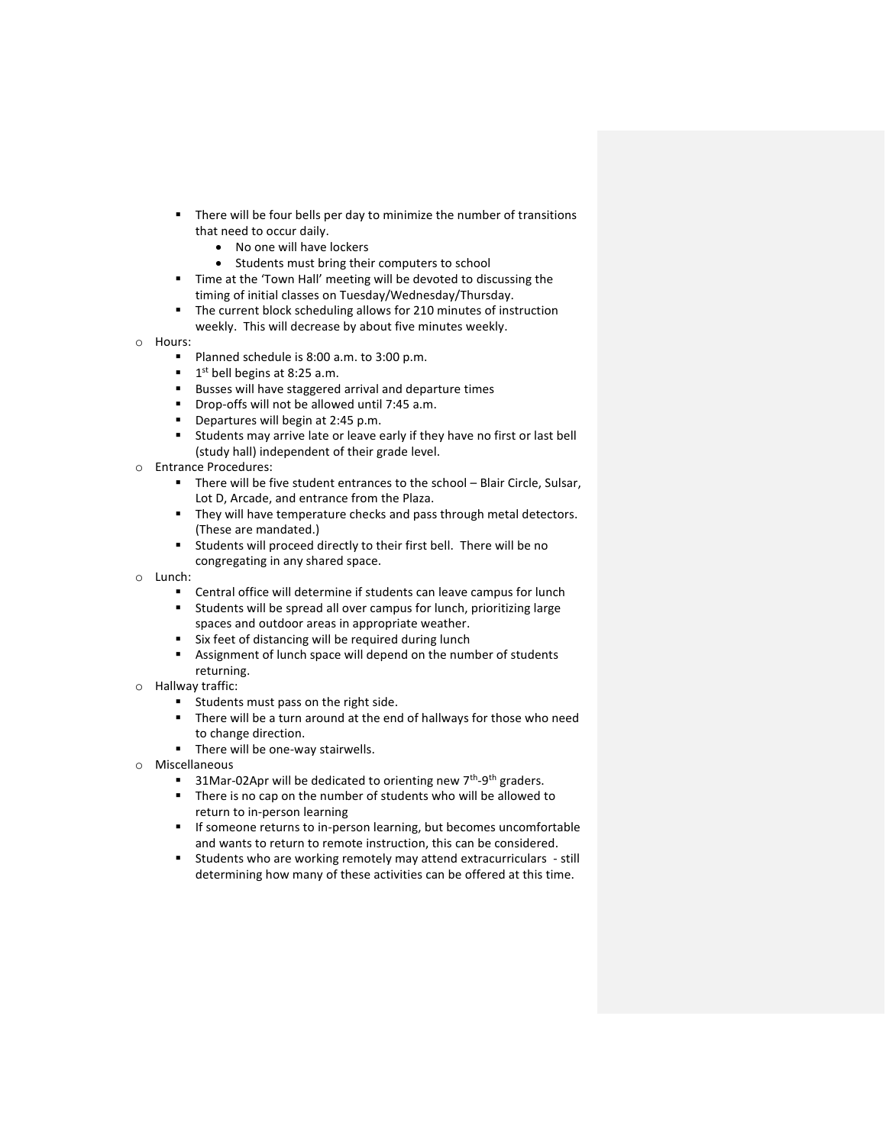- There will be four bells per day to minimize the number of transitions that need to occur daily.
	- No one will have lockers
	- Students must bring their computers to school
- Time at the 'Town Hall' meeting will be devoted to discussing the timing of initial classes on Tuesday/Wednesday/Thursday.
- The current block scheduling allows for 210 minutes of instruction weekly. This will decrease by about five minutes weekly.
- o Hours:
	- Planned schedule is 8:00 a.m. to 3:00 p.m.
	- $\blacksquare$  1<sup>st</sup> bell begins at 8:25 a.m.
	- Busses will have staggered arrival and departure times
	- **•** Drop-offs will not be allowed until 7:45 a.m.<br>• Departures will begin at 2:45 p.m.
	- Departures will begin at 2:45 p.m.
	- Students may arrive late or leave early if they have no first or last bell (study hall) independent of their grade level.
- o Entrance Procedures:
	- There will be five student entrances to the school Blair Circle, Sulsar, Lot D, Arcade, and entrance from the Plaza.
	- They will have temperature checks and pass through metal detectors. (These are mandated.)
	- Students will proceed directly to their first bell. There will be no congregating in any shared space.
- o Lunch:
	- Central office will determine if students can leave campus for lunch
	- Students will be spread all over campus for lunch, prioritizing large spaces and outdoor areas in appropriate weather.
	- Six feet of distancing will be required during lunch
	- Assignment of lunch space will depend on the number of students returning.
- o Hallway traffic:
	- Students must pass on the right side.
	- There will be a turn around at the end of hallways for those who need to change direction.
	- There will be one-way stairwells.
- o Miscellaneous
	- 31Mar-02Apr will be dedicated to orienting new 7<sup>th</sup>-9<sup>th</sup> graders.
	- There is no cap on the number of students who will be allowed to return to in-person learning
	- If someone returns to in-person learning, but becomes uncomfortable and wants to return to remote instruction, this can be considered.
	- Students who are working remotely may attend extracurriculars still determining how many of these activities can be offered at this time.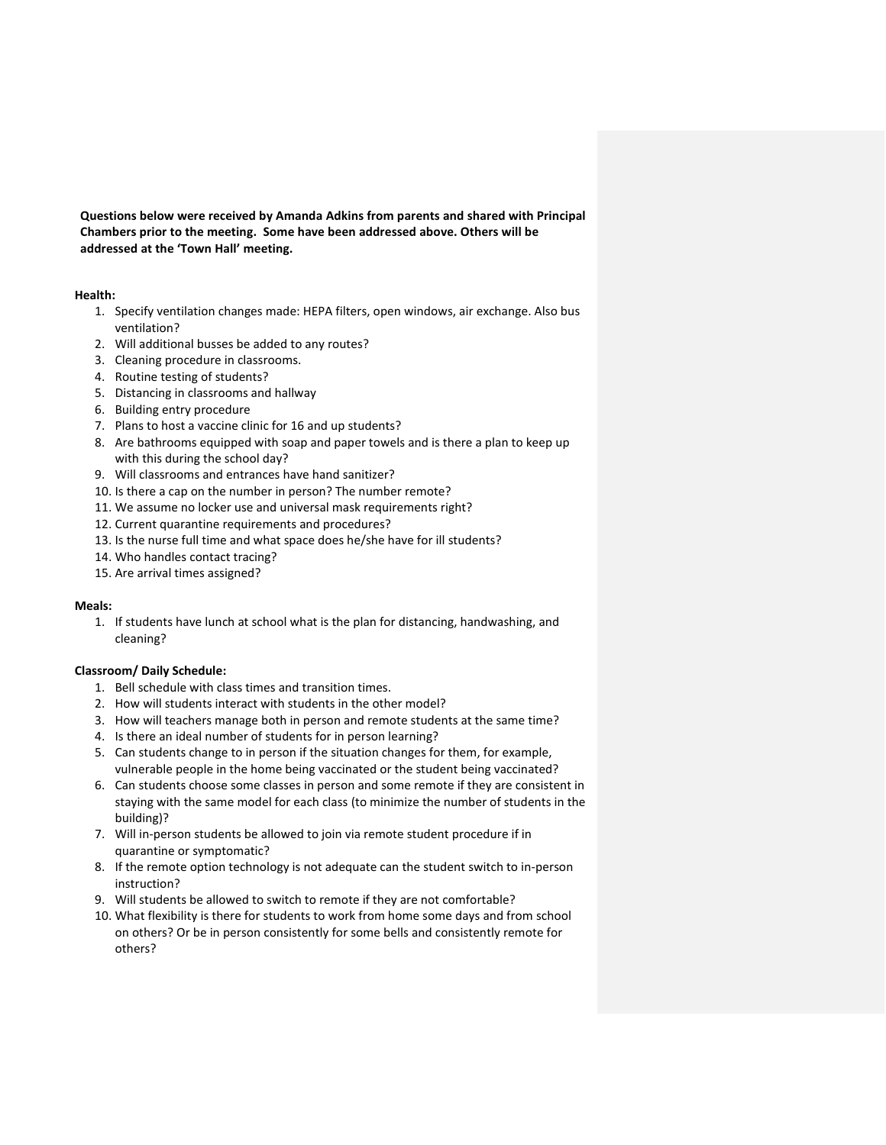**Questions below were received by Amanda Adkins from parents and shared with Principal Chambers prior to the meeting. Some have been addressed above. Others will be addressed at the 'Town Hall' meeting.**

## **Health:**

- 1. Specify ventilation changes made: HEPA filters, open windows, air exchange. Also bus ventilation?
- 2. Will additional busses be added to any routes?
- 3. Cleaning procedure in classrooms.
- 4. Routine testing of students?
- 5. Distancing in classrooms and hallway
- 6. Building entry procedure
- 7. Plans to host a vaccine clinic for 16 and up students?
- 8. Are bathrooms equipped with soap and paper towels and is there a plan to keep up with this during the school day?
- 9. Will classrooms and entrances have hand sanitizer?
- 10. Is there a cap on the number in person? The number remote?
- 11. We assume no locker use and universal mask requirements right?
- 12. Current quarantine requirements and procedures?
- 13. Is the nurse full time and what space does he/she have for ill students?
- 14. Who handles contact tracing?
- 15. Are arrival times assigned?

#### **Meals:**

1. If students have lunch at school what is the plan for distancing, handwashing, and cleaning?

#### **Classroom/ Daily Schedule:**

- 1. Bell schedule with class times and transition times.
- 2. How will students interact with students in the other model?
- 3. How will teachers manage both in person and remote students at the same time?
- 4. Is there an ideal number of students for in person learning?
- 5. Can students change to in person if the situation changes for them, for example, vulnerable people in the home being vaccinated or the student being vaccinated?
- 6. Can students choose some classes in person and some remote if they are consistent in staying with the same model for each class (to minimize the number of students in the building)?
- 7. Will in-person students be allowed to join via remote student procedure if in quarantine or symptomatic?
- 8. If the remote option technology is not adequate can the student switch to in-person instruction?
- 9. Will students be allowed to switch to remote if they are not comfortable?
- 10. What flexibility is there for students to work from home some days and from school on others? Or be in person consistently for some bells and consistently remote for others?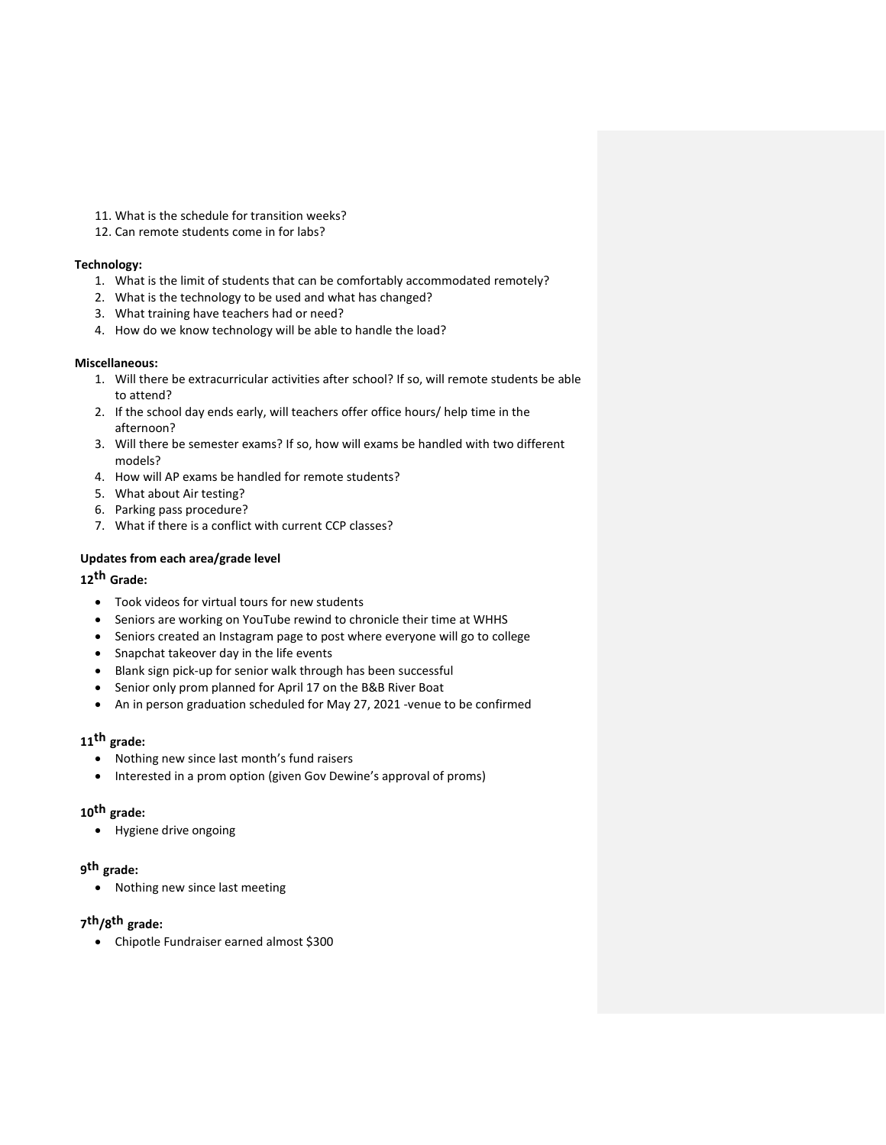- 11. What is the schedule for transition weeks?
- 12. Can remote students come in for labs?

## **Technology:**

- 1. What is the limit of students that can be comfortably accommodated remotely?
- 2. What is the technology to be used and what has changed?
- 3. What training have teachers had or need?
- 4. How do we know technology will be able to handle the load?

## **Miscellaneous:**

- 1. Will there be extracurricular activities after school? If so, will remote students be able to attend?
- 2. If the school day ends early, will teachers offer office hours/ help time in the afternoon?
- 3. Will there be semester exams? If so, how will exams be handled with two different models?
- 4. How will AP exams be handled for remote students?
- 5. What about Air testing?
- 6. Parking pass procedure?
- 7. What if there is a conflict with current CCP classes?

## **Updates from each area/grade level**

# **12th Grade:**

- Took videos for virtual tours for new students
- Seniors are working on YouTube rewind to chronicle their time at WHHS
- Seniors created an Instagram page to post where everyone will go to college
- Snapchat takeover day in the life events
- Blank sign pick-up for senior walk through has been successful
- Senior only prom planned for April 17 on the B&B River Boat
- An in person graduation scheduled for May 27, 2021 -venue to be confirmed

# **11th grade:**

- Nothing new since last month's fund raisers
- Interested in a prom option (given Gov Dewine's approval of proms)

## **10th grade:**

• Hygiene drive ongoing

# **9 th grade:**

• Nothing new since last meeting

# **7 th/8 th grade:**

• Chipotle Fundraiser earned almost \$300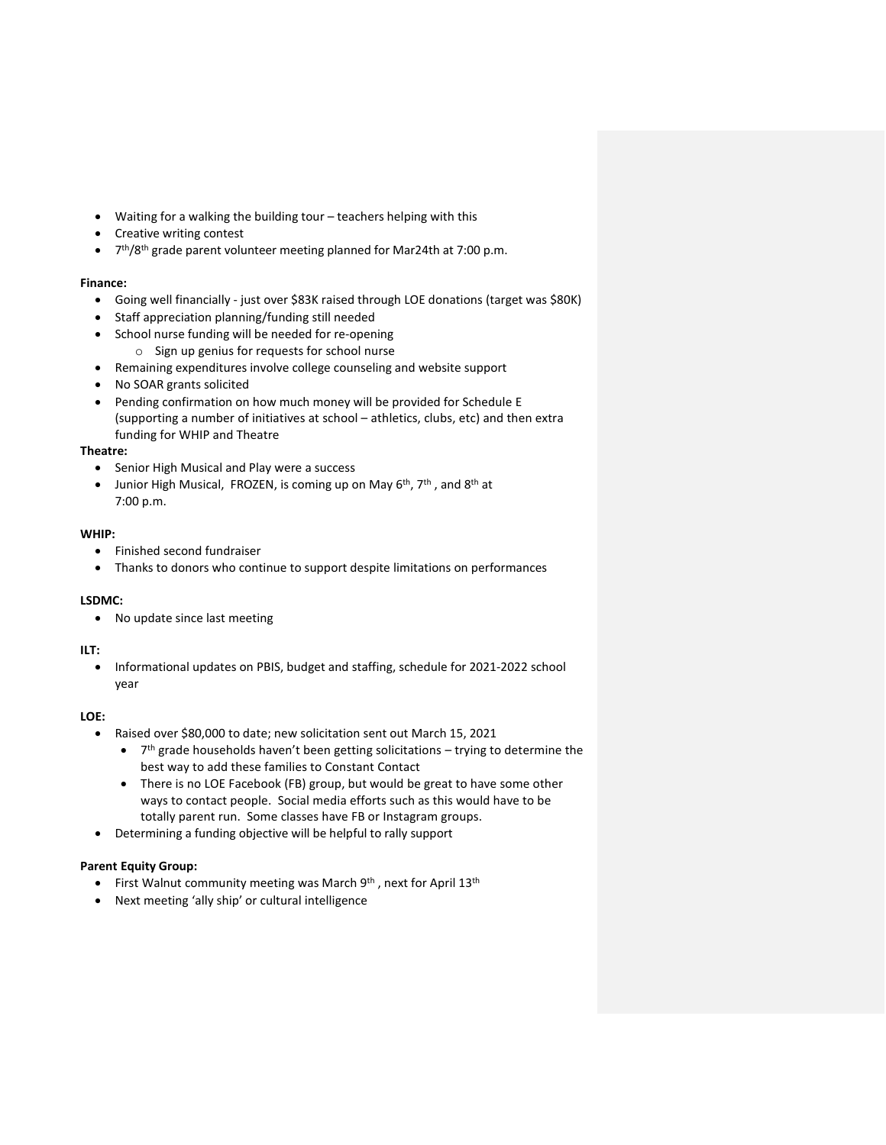- Waiting for a walking the building tour teachers helping with this
- Creative writing contest
- 7<sup>th</sup>/8<sup>th</sup> grade parent volunteer meeting planned for Mar24th at 7:00 p.m.

## **Finance:**

- Going well financially just over \$83K raised through LOE donations (target was \$80K)
- Staff appreciation planning/funding still needed
- School nurse funding will be needed for re-opening
	- o Sign up genius for requests for school nurse
- Remaining expenditures involve college counseling and website support
- No SOAR grants solicited
- Pending confirmation on how much money will be provided for Schedule E (supporting a number of initiatives at school – athletics, clubs, etc) and then extra funding for WHIP and Theatre

## **Theatre:**

- Senior High Musical and Play were a success
- Junior High Musical, FROZEN, is coming up on May  $6^{th}$ ,  $7^{th}$ , and  $8^{th}$  at 7:00 p.m.

## **WHIP:**

- Finished second fundraiser
- Thanks to donors who continue to support despite limitations on performances

## **LSDMC:**

• No update since last meeting

#### **ILT:**

• Informational updates on PBIS, budget and staffing, schedule for 2021-2022 school year

#### **LOE:**

- Raised over \$80,000 to date; new solicitation sent out March 15, 2021
	- $\bullet$   $7<sup>th</sup>$  grade households haven't been getting solicitations trying to determine the best way to add these families to Constant Contact
	- There is no LOE Facebook (FB) group, but would be great to have some other ways to contact people. Social media efforts such as this would have to be totally parent run. Some classes have FB or Instagram groups.
- Determining a funding objective will be helpful to rally support

## **Parent Equity Group:**

- First Walnut community meeting was March  $9^{th}$ , next for April 13<sup>th</sup>
- Next meeting 'ally ship' or cultural intelligence